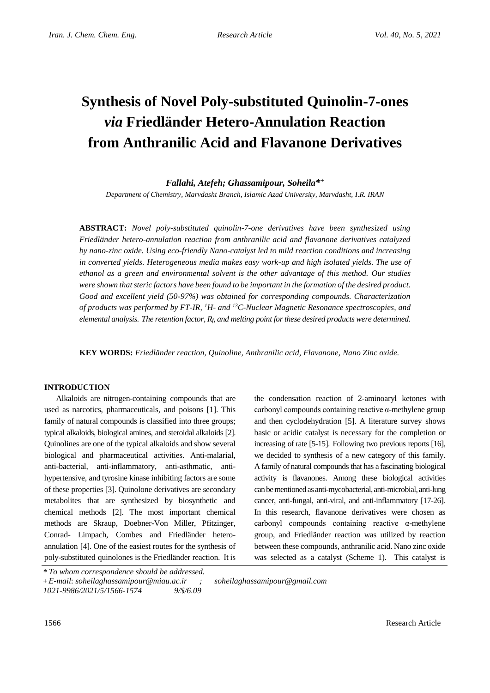# **Synthesis of Novel Poly-substituted Quinolin-7-ones**  *via* **Friedländer Hetero-Annulation Reaction from Anthranilic Acid and Flavanone Derivatives**

## *Fallahi, Atefeh; Ghassamipour, Soheila\* +*

*Department of Chemistry, Marvdasht Branch, Islamic Azad University, Marvdasht, I.R. IRAN*

**ABSTRACT:** *Novel poly-substituted quinolin-7-one derivatives have been synthesized using Friedländer hetero-annulation reaction from anthranilic acid and flavanone derivatives catalyzed by nano-zinc oxide. Using eco-friendly Nano-catalyst led to mild reaction conditions and increasing in converted yields. Heterogeneous media makes easy work-up and high isolated yields. The use of ethanol as a green and environmental solvent is the other advantage of this method. Our studies were shown that steric factors have been found to be important in the formation of the desired product. Good and excellent yield (50-97%) was obtained for corresponding compounds. Characterization of products was performed by FT-IR, <sup>1</sup>H- and <sup>13</sup>C-Nuclear Magnetic Resonance spectroscopies, and elemental analysis. The retention factor,*  $R_f$  *and melting point for these desired products were determined.* 

**KEY WORDS:** *Friedländer reaction, Quinoline, Anthranilic acid, Flavanone, Nano Zinc oxide.*

#### **INTRODUCTION**

Alkaloids are nitrogen-containing compounds that are used as narcotics, pharmaceuticals, and poisons [1]. This family of natural compounds is classified into three groups; typical alkaloids, biological amines, and steroidal alkaloids [2]. Quinolines are one of the typical alkaloids and show several biological and pharmaceutical activities. Anti-malarial, anti-bacterial, anti-inflammatory, anti-asthmatic, antihypertensive, and tyrosine kinase inhibiting factors are some of these properties [3]. Quinolone derivatives are secondary metabolites that are synthesized by biosynthetic and chemical methods [2]. The most important chemical methods are Skraup, Doebner-Von Miller, Pfitzinger, Conrad- Limpach, Combes and Friedländer heteroannulation [4]. One of the easiest routes for the synthesis of poly-substituted quinolones is the Friedländer reaction. It is the condensation reaction of 2-aminoaryl ketones with carbonyl compounds containing reactive α-methylene group and then cyclodehydration [5]. A literature survey shows basic or acidic catalyst is necessary for the completion or increasing of rate [5-15]. Following two previous reports [16], we decided to synthesis of a new category of this family. A family of natural compounds that has a fascinating biological activity is flavanones. Among these biological activities can be mentioned as anti-mycobacterial,anti-microbial, anti-lung cancer, anti-fungal, anti-viral, and anti-inflammatory [17-26]. In this research, flavanone derivatives were chosen as carbonyl compounds containing reactive α-methylene group, and Friedländer reaction was utilized by reaction between these compounds, anthranilic acid. Nano zinc oxide was selected as a catalyst (Scheme 1). This catalyst is

*<sup>\*</sup> To whom correspondence should be addressed.*

**<sup>+</sup>** *E-mail*: *soheilaghassamipour@miau.ac.ir ; soheilaghassamipour@gmail.com*

*<sup>1021-9986/2021/5/1566-1574 9/\$/6.09</sup>*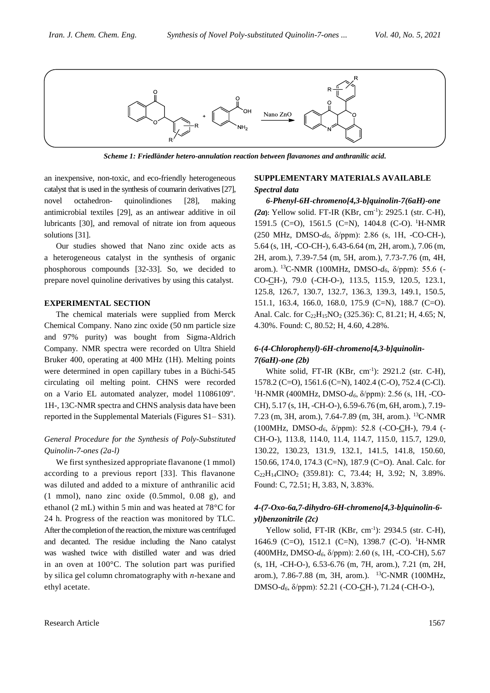

*Scheme 1: Friedländer hetero-annulation reaction between flavanones and anthranilic acid.*

an inexpensive, non-toxic, and eco-friendly heterogeneous catalyst that is used in the synthesis of coumarin derivatives [27], novel octahedron- quinolindiones [28], making antimicrobial textiles [29], as an antiwear additive in oil lubricants [30], and removal of nitrate ion from aqueous solutions [31].

Our studies showed that Nano zinc oxide acts as a heterogeneous catalyst in the synthesis of organic phosphorous compounds [32-33]. So, we decided to prepare novel quinoline derivatives by using this catalyst.

#### **EXPERIMENTAL SECTION**

The chemical materials were supplied from Merck Chemical Company. Nano zinc oxide (50 nm particle size and 97% purity) was bought from Sigma-Aldrich Company. NMR spectra were recorded on Ultra Shield Bruker 400, operating at 400 MHz (1H). Melting points were determined in open capillary tubes in a Büchi-545 circulating oil melting point. CHNS were recorded on a Vario EL automated analyzer, model 11086109". 1H-, 13C-NMR spectra and CHNS analysis data have been reported in the Supplemental Materials (Figures S1– S31).

## *General Procedure for the Synthesis of Poly-Substituted Quinolin-7-ones (2a-l)*

We first synthesized appropriate flavanone (1 mmol) according to a previous report [33]. This flavanone was diluted and added to a mixture of anthranilic acid (1 mmol), nano zinc oxide (0.5mmol, 0.08 g), and ethanol (2 mL) within 5 min and was heated at 78°C for 24 h. Progress of the reaction was monitored by TLC. After the completion of the reaction, the mixture was centrifuged and decanted. The residue including the Nano catalyst was washed twice with distilled water and was dried in an oven at 100°C. The solution part was purified by silica gel column chromatography with *n*-hexane and ethyl acetate.

#### **SUPPLEMENTARY MATERIALS AVAILABLE** *Spectral data*

*6-Phenyl-6H-chromeno[4,3-b]quinolin-7(6aH)-one (2a***):** Yellow solid. FT-IR (KBr, cm-1 ): 2925.1 (str. C-H), 1591.5 (C=O), 1561.5 (C=N), 1404.8 (C-O). <sup>1</sup>H-NMR (250 MHz, DMSO-*d6*, δ/ppm): 2.86 (s, 1H, -CO-CH-), 5.64 (s, 1H, -CO-CH-), 6.43-6.64 (m, 2H, arom.), 7.06 (m, 2H, arom.), 7.39-7.54 (m, 5H, arom.), 7.73-7.76 (m, 4H, arom.). <sup>13</sup>C-NMR (100MHz, DMSO-*d6*, δ/ppm): 55.6 (- CO-CH-), 79.0 (-CH-O-), 113.5, 115.9, 120.5, 123.1, 125.8, 126.7, 130.7, 132.7, 136.3, 139.3, 149.1, 150.5, 151.1, 163.4, 166.0, 168.0, 175.9 (C=N), 188.7 (C=O). Anal. Calc. for C<sub>22</sub>H<sub>15</sub>NO<sub>2</sub> (325.36): C, 81.21; H, 4.65; N, 4.30%. Found: C, 80.52; H, 4.60, 4.28%.

## *6-(4-Chlorophenyl)-6H-chromeno[4,3-b]quinolin-7(6aH)-one (2b)*

White solid, FT-IR (KBr, cm<sup>-1</sup>): 2921.2 (str. C-H), 1578.2 (C=O), 1561.6 (C=N), 1402.4 (C-O), 752.4 (C-Cl). <sup>1</sup>H-NMR (400MHz, DMSO-*d6*, δ/ppm): 2.56 (s, 1H, -CO-CH), 5.17 (s, 1H, -CH-O-), 6.59-6.76 (m, 6H, arom.), 7.19- 7.23 (m, 3H, arom.), 7.64-7.89 (m, 3H, arom.). <sup>13</sup>C-NMR (100MHz, DMSO-*d6*, δ/ppm): 52.8 (-CO-CH-), 79.4 (- CH-O-), 113.8, 114.0, 11.4, 114.7, 115.0, 115.7, 129.0, 130.22, 130.23, 131.9, 132.1, 141.5, 141.8, 150.60, 150.66, 174.0, 174.3 (C=N), 187.9 (C=O). Anal. Calc. for  $C_{22}H_{14}CINO_2$  (359.81): C, 73.44; H, 3.92; N, 3.89%. Found: C, 72.51; H, 3.83, N, 3.83%.

## *4-(7-Oxo-6a,7-dihydro-6H-chromeno[4,3-b]quinolin-6 yl)benzonitrile (2c)*

Yellow solid, FT-IR (KBr, cm<sup>-1</sup>): 2934.5 (str. C-H), 1646.9 (C=O), 1512.1 (C=N), 1398.7 (C-O). <sup>1</sup>H-NMR (400MHz, DMSO-*d6*, δ/ppm): 2.60 (s, 1H, -CO-CH), 5.67 (s, 1H, -CH-O-), 6.53-6.76 (m, 7H, arom.), 7.21 (m, 2H, arom.), 7.86-7.88 (m, 3H, arom.). <sup>13</sup>C-NMR (100MHz, DMSO-*d6*, δ/ppm): 52.21 (-CO-CH-), 71.24 (-CH-O-),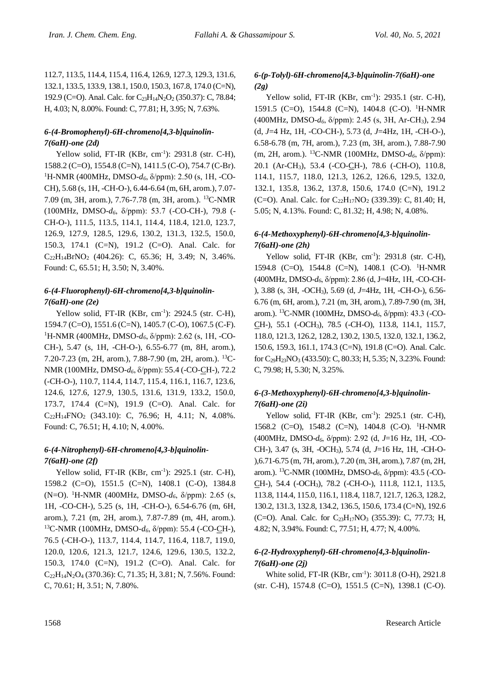112.7, 113.5, 114.4, 115.4, 116.4, 126.9, 127.3, 129.3, 131.6, 132.1, 133.5, 133.9, 138.1, 150.0, 150.3, 167.8, 174.0 (C=N), 192.9 (C=O). Anal. Calc. for C<sub>23</sub>H<sub>14</sub>N<sub>2</sub>O<sub>2</sub> (350.37): C, 78.84; H, 4.03; N, 8.00%. Found: C, 77.81; H, 3.95; N, 7.63%.

## *6-(4-Bromophenyl)-6H-chromeno[4,3-b]quinolin-7(6aH)-one (2d)*

Yellow solid, FT-IR  $(KBr, cm^{-1})$ : 2931.8 (str. C-H), 1588.2 (C=O), 1554.8 (C=N), 1411.5 (C-O), 754.7 (C-Br). <sup>1</sup>H-NMR (400MHz, DMSO- $d_6$ , δ/ppm): 2.50 (s, 1H, -CO-CH), 5.68 (s, 1H, -CH-O-), 6.44-6.64 (m, 6H, arom.), 7.07- 7.09 (m, 3H, arom.), 7.76-7.78 (m, 3H, arom.). <sup>13</sup>C-NMR (100MHz, DMSO-*d6*, δ/ppm): 53.7 (-CO-CH-), 79.8 (- CH-O-), 111.5, 113.5, 114.1, 114.4, 118.4, 121.0, 123.7, 126.9, 127.9, 128.5, 129.6, 130.2, 131.3, 132.5, 150.0, 150.3, 174.1 (C=N), 191.2 (C=O). Anal. Calc. for  $C_{22}H_{14}BrNO_2$  (404.26): C, 65.36; H, 3.49; N, 3.46%. Found: C, 65.51; H, 3.50; N, 3.40%.

# *6-(4-Fluorophenyl)-6H-chromeno[4,3-b]quinolin-7(6aH)-one (2e)*

Yellow solid, FT-IR (KBr, cm<sup>-1</sup>): 2924.5 (str. C-H), 1594.7 (C=O), 1551.6 (C=N), 1405.7 (C-O), 1067.5 (C-F). <sup>1</sup>H-NMR (400MHz, DMSO- $d$ <sup>6</sup>, δ/ppm): 2.62 (s, 1H, -CO-CH-), 5.47 (s, 1H, -CH-O-), 6.55-6.77 (m, 8H, arom.), 7.20-7.23 (m, 2H, arom.), 7.88-7.90 (m, 2H, arom.). <sup>13</sup>C-NMR (100MHz, DMSO-*d6*, δ/ppm): 55.4 (-CO-CH-), 72.2 (-CH-O-), 110.7, 114.4, 114.7, 115.4, 116.1, 116.7, 123.6, 124.6, 127.6, 127.9, 130.5, 131.6, 131.9, 133.2, 150.0, 173.7, 174.4 (C=N), 191.9 (C=O). Anal. Calc. for  $C_{22}H_{14}FNO_2$  (343.10): C, 76.96; H, 4.11; N, 4.08%. Found: C, 76.51; H, 4.10; N, 4.00%.

# *6-(4-Nitrophenyl)-6H-chromeno[4,3-b]quinolin-7(6aH)-one (2f)*

Yellow solid, FT-IR (KBr, cm<sup>-1</sup>): 2925.1 (str. C-H), 1598.2 (C=O), 1551.5 (C=N), 1408.1 (C-O), 1384.8 (N=O). <sup>1</sup>H-NMR (400MHz, DMSO-*d6*, δ/ppm): 2.65 (s, 1H, -CO-CH-), 5.25 (s, 1H, -CH-O-), 6.54-6.76 (m, 6H, arom.), 7.21 (m, 2H, arom.), 7.87-7.89 (m, 4H, arom.). <sup>13</sup>C-NMR (100MHz, DMSO-*d6*, δ/ppm): 55.4 (-CO-CH-), 76.5 (-CH-O-), 113.7, 114.4, 114.7, 116.4, 118.7, 119.0, 120.0, 120.6, 121.3, 121.7, 124.6, 129.6, 130.5, 132.2, 150.3, 174.0 (C=N), 191.2 (C=O). Anal. Calc. for C22H14N2O<sup>4</sup> (370.36): C, 71.35; H, 3.81; N, 7.56%. Found: C, 70.61; H, 3.51; N, 7.80%.

# *6-(p-Tolyl)-6H-chromeno[4,3-b]quinolin-7(6aH)-one (2g)*

Yellow solid, FT-IR  $(KBr, cm^{-1})$ : 2935.1 (str. C-H), 1591.5 (C=O), 1544.8 (C=N), 1404.8 (C-O). <sup>1</sup>H-NMR (400MHz, DMSO-*d6*, δ/ppm): 2.45 (s, 3H, Ar-CH3), 2.94 (d, *J*=4 Hz, 1H, -CO-CH-), 5.73 (d, *J*=4Hz, 1H, -CH-O-), 6.58-6.78 (m, 7H, arom.), 7.23 (m, 3H, arom.), 7.88-7.90 (m, 2H, arom.). <sup>13</sup>C-NMR (100MHz, DMSO-*d6*, δ/ppm): 20.1 (Ar-CH3), 53.4 (-CO-CH-), 78.6 (-CH-O), 110.8, 114.1, 115.7, 118.0, 121.3, 126.2, 126.6, 129.5, 132.0, 132.1, 135.8, 136.2, 137.8, 150.6, 174.0 (C=N), 191.2 (C=O). Anal. Calc. for  $C_{22}H_{17}NO_2$  (339.39): C, 81.40; H, 5.05; N, 4.13%. Found: C, 81.32; H, 4.98; N, 4.08%.

# *6-(4-Methoxyphenyl)-6H-chromeno[4,3-b]quinolin-7(6aH)-one (2h)*

Yellow solid, FT-IR (KBr, cm<sup>-1</sup>): 2931.8 (str. C-H), 1594.8 (C=O), 1544.8 (C=N), 1408.1 (C-O). <sup>1</sup>H-NMR (400MHz, DMSO-*d6*, δ/ppm): 2.86 (d, J=4Hz, 1H, -CO-CH- ), 3.88 (s, 3H, -OCH3), 5.69 (d, *J*=4Hz, 1H, -CH-O-), 6.56- 6.76 (m, 6H, arom.), 7.21 (m, 3H, arom.), 7.89-7.90 (m, 3H, arom.). <sup>13</sup>C-NMR (100MHz, DMSO-*d6*, δ/ppm): 43.3 (-CO-CH-), 55.1 (-OCH3), 78.5 (-CH-O), 113.8, 114.1, 115.7, 118.0, 121.3, 126.2, 128.2, 130.2, 130.5, 132.0, 132.1, 136.2, 150.6, 159.3, 161.1, 174.3 (C=N), 191.8 (C=O). Anal. Calc. for C29H23NO<sup>3</sup> (433.50): C, 80.33; H, 5.35; N, 3.23%. Found: C, 79.98; H, 5.30; N, 3.25%.

# *6-(3-Methoxyphenyl)-6H-chromeno[4,3-b]quinolin-7(6aH)-one (2i)*

Yellow solid, FT-IR (KBr, cm<sup>-1</sup>): 2925.1 (str. C-H), 1568.2 (C=O), 1548.2 (C=N), 1404.8 (C-O). <sup>1</sup>H-NMR (400MHz, DMSO-*d6*, δ/ppm): 2.92 (d, *J*=16 Hz, 1H, -CO-CH-), 3.47 (s, 3H, -OCH3), 5.74 (d, *J*=16 Hz, 1H, -CH-O- ),6.71-6.75 (m, 7H, arom.), 7.20 (m, 3H, arom.), 7.87 (m, 2H, arom.). <sup>13</sup>C-NMR (100MHz, DMSO-*d6*, δ/ppm): 43.5 (-CO-CH-), 54.4 (-OCH3), 78.2 (-CH-O-), 111.8, 112.1, 113.5, 113.8, 114.4, 115.0, 116.1, 118.4, 118.7, 121.7, 126.3, 128.2, 130.2, 131.3, 132.8, 134.2, 136.5, 150.6, 173.4 (C=N), 192.6 (C=O). Anal. Calc. for  $C_{23}H_{17}NO_3$  (355.39): C, 77.73; H, 4.82; N, 3.94%. Found: C, 77.51; H, 4.77; N, 4.00%.

## *6-(2-Hydroxyphenyl)-6H-chromeno[4,3-b]quinolin-7(6aH)-one (2j)*

White solid, FT-IR (KBr, cm<sup>-1</sup>): 3011.8 (O-H), 2921.8 (str. C-H), 1574.8 (C=O), 1551.5 (C=N), 1398.1 (C-O).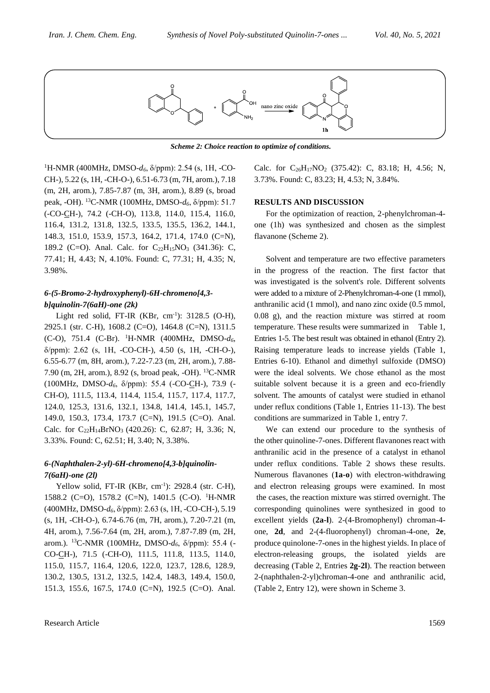

*Scheme 2: Choice reaction to optimize of conditions.*

<sup>1</sup>H-NMR (400MHz, DMSO-*d<sub>6</sub>*, δ/ppm): 2.54 (s, 1H, -CO-CH-), 5.22 (s, 1H, -CH-O-), 6.51-6.73 (m, 7H, arom.), 7.18 (m, 2H, arom.), 7.85-7.87 (m, 3H, arom.), 8.89 (s, broad peak, -OH). <sup>13</sup>C-NMR (100MHz, DMSO-*d6*, δ/ppm): 51.7 (-CO-CH-), 74.2 (-CH-O), 113.8, 114.0, 115.4, 116.0, 116.4, 131.2, 131.8, 132.5, 133.5, 135.5, 136.2, 144.1, 148.3, 151.0, 153.9, 157.3, 164.2, 171.4, 174.0 (C=N), 189.2 (C=O). Anal. Calc. for  $C_{22}H_{15}NO_3$  (341.36): C, 77.41; H, 4.43; N, 4.10%. Found: C, 77.31; H, 4.35; N, 3.98%.

## *6-(5-Bromo-2-hydroxyphenyl)-6H-chromeno[4,3 b]quinolin-7(6aH)-one (2k)*

Light red solid, FT-IR (KBr, cm<sup>-1</sup>): 3128.5 (O-H), 2925.1 (str. C-H), 1608.2 (C=O), 1464.8 (C=N), 1311.5 (C-O), 751.4 (C-Br). <sup>1</sup>H-NMR (400MHz, DMSO-*d6*, δ/ppm): 2.62 (s, 1H, -CO-CH-), 4.50 (s, 1H, -CH-O-), 6.55-6.77 (m, 8H, arom.), 7.22-7.23 (m, 2H, arom.), 7.88- 7.90 (m, 2H, arom.), 8.92 (s, broad peak, -OH). <sup>13</sup>C-NMR (100MHz, DMSO-*d6*, δ/ppm): 55.4 (-CO-CH-), 73.9 (- CH-O), 111.5, 113.4, 114.4, 115.4, 115.7, 117.4, 117.7, 124.0, 125.3, 131.6, 132.1, 134.8, 141.4, 145.1, 145.7, 149.0, 150.3, 173.4, 173.7 (C=N), 191.5 (C=O). Anal. Calc. for  $C_{22}H_{14}BrNO_3$  (420.26): C, 62.87; H, 3.36; N, 3.33%. Found: C, 62.51; H, 3.40; N, 3.38%.

## *6-(Naphthalen-2-yl)-6H-chromeno[4,3-b]quinolin-7(6aH)-one (2l)*

Yellow solid, FT-IR (KBr, cm<sup>-1</sup>): 2928.4 (str. C-H), 1588.2 (C=O), 1578.2 (C=N), 1401.5 (C-O). <sup>1</sup>H-NMR (400MHz, DMSO-*d6*, δ/ppm): 2.63 (s, 1H, -CO-CH-), 5.19 (s, 1H, -CH-O-), 6.74-6.76 (m, 7H, arom.), 7.20-7.21 (m, 4H, arom.), 7.56-7.64 (m, 2H, arom.), 7.87-7.89 (m, 2H, arom.). <sup>13</sup>C-NMR (100MHz, DMSO-*d6*, δ/ppm): 55.4 (- CO-CH-), 71.5 (-CH-O), 111.5, 111.8, 113.5, 114.0, 115.0, 115.7, 116.4, 120.6, 122.0, 123.7, 128.6, 128.9, 130.2, 130.5, 131.2, 132.5, 142.4, 148.3, 149.4, 150.0, 151.3, 155.6, 167.5, 174.0 (C=N), 192.5 (C=O). Anal.

Calc. for  $C_{26}H_{17}NO_2$  (375.42): C, 83.18; H, 4.56; N, 3.73%. Found: C, 83.23; H, 4.53; N, 3.84%.

#### **RESULTS AND DISCUSSION**

For the optimization of reaction, 2-phenylchroman-4 one (1h) was synthesized and chosen as the simplest flavanone (Scheme 2).

Solvent and temperature are two effective parameters in the progress of the reaction. The first factor that was investigated is the solvent's role. Different solvents were added to a mixture of 2-Phenylchroman-4-one (1 mmol), anthranilic acid (1 mmol), and nano zinc oxide (0.5 mmol, 0.08 g), and the reaction mixture was stirred at room temperature. These results were summarized in Table 1, Entries 1-5. The best result was obtained in ethanol (Entry 2). Raising temperature leads to increase yields (Table 1, Entries 6-10). Ethanol and dimethyl sulfoxide (DMSO) were the ideal solvents. We chose ethanol as the most suitable solvent because it is a green and eco-friendly solvent. The amounts of catalyst were studied in ethanol under reflux conditions (Table 1, Entries 11-13). The best conditions are summarized in Table 1, entry 7.

We can extend our procedure to the synthesis of the other quinoline-7-ones. Different flavanones react with anthranilic acid in the presence of a catalyst in ethanol under reflux conditions. Table 2 shows these results. Numerous flavanones (**1a-o**) with electron-withdrawing and electron releasing groups were examined. In most the cases, the reaction mixture was stirred overnight. The corresponding quinolines were synthesized in good to excellent yields (**2a-l**). 2-(4-Bromophenyl) chroman-4 one, **2d**, and 2-(4-fluorophenyl) chroman-4-one, **2e**, produce quinolone-7-ones in the highest yields. In place of electron-releasing groups, the isolated yields are decreasing (Table 2, Entries **2g-2l**). The reaction between 2-(naphthalen-2-yl)chroman-4-one and anthranilic acid, (Table 2, Entry 12), were shown in Scheme 3.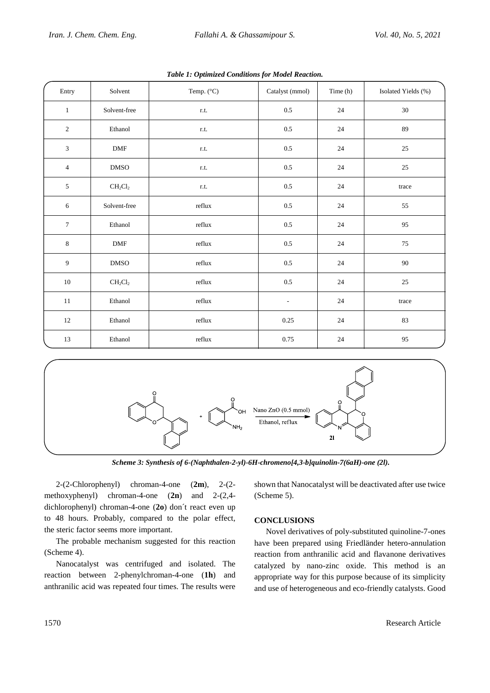| Entry            | Solvent      | Temp. (°C) | Catalyst (mmol) | Time (h) | Isolated Yields (%) |
|------------------|--------------|------------|-----------------|----------|---------------------|
| $\mathbf{1}$     | Solvent-free | r.t.       | $0.5\,$         | 24       | $30\,$              |
| 2                | Ethanol      | r.t.       | $0.5\,$         | 24       | 89                  |
| $\mathfrak{Z}$   | DMF          | r.t.       | $0.5\,$         | 24       | $25\,$              |
| $\overline{4}$   | $\rm DMSO$   | r.t.       | $0.5\,$         | $24\,$   | 25                  |
| $\sqrt{5}$       | $CH_2Cl_2$   | r.t.       | $0.5\,$         | 24       | trace               |
| $\sqrt{6}$       | Solvent-free | reflux     | $0.5\,$         | 24       | 55                  |
| $\boldsymbol{7}$ | Ethanol      | reflux     | $0.5\,$         | 24       | 95                  |
| 8                | <b>DMF</b>   | reflux     | $0.5\,$         | 24       | 75                  |
| 9                | DMSO         | reflux     | $0.5\,$         | 24       | 90                  |
| $10\,$           | $CH_2Cl_2$   | reflux     | $0.5\,$         | 24       | $25\,$              |
| 11               | Ethanol      | reflux     | $\blacksquare$  | 24       | trace               |
| $12\,$           | Ethanol      | reflux     | 0.25            | 24       | 83                  |
| 13               | Ethanol      | reflux     | 0.75            | $24\,$   | 95                  |

*Table 1: Optimized Conditions for Model Reaction.*



*Scheme 3: Synthesis of 6-(Naphthalen-2-yl)-6H-chromeno[4,3-b]quinolin-7(6aH)-one (2l).*

2-(2-Chlorophenyl) chroman-4-one (**2m**), 2-(2 methoxyphenyl) chroman-4-one (**2n**) and 2-(2,4 dichlorophenyl) chroman-4-one (**2o**) don´t react even up to 48 hours. Probably, compared to the polar effect, the steric factor seems more important.

The probable mechanism suggested for this reaction (Scheme 4).

Nanocatalyst was centrifuged and isolated. The reaction between 2-phenylchroman-4-one (**1h**) and anthranilic acid was repeated four times. The results were

shown that Nanocatalyst will be deactivated after use twice (Scheme 5).

## **CONCLUSIONS**

Novel derivatives of poly-substituted quinoline-7-ones have been prepared using Friedländer hetero-annulation reaction from anthranilic acid and flavanone derivatives catalyzed by nano-zinc oxide. This method is an appropriate way for this purpose because of its simplicity and use of heterogeneous and eco-friendly catalysts. Good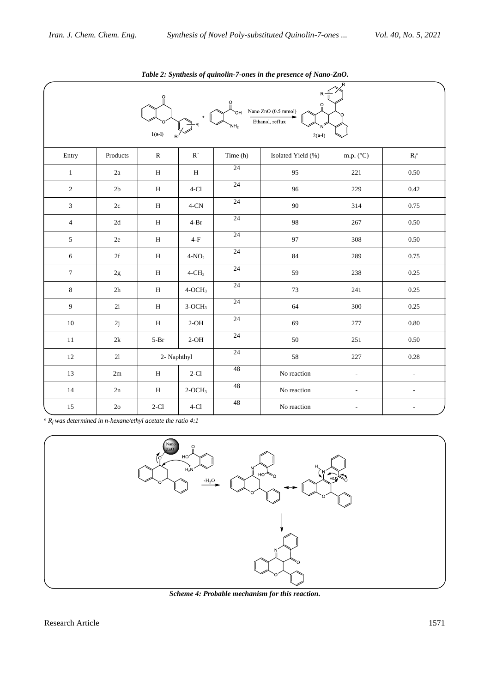| $-$<br>O<br>O<br>$\ddot{\mathrm{o}}$<br>Nano ZnO (0.5 mmol)<br>OH<br>Ethanol, reflux<br>NH <sub>2</sub><br>$1(a-l)$<br>$2(a-1)$<br>R' |                                   |              |                         |          |                    |                    |                   |  |  |  |  |
|---------------------------------------------------------------------------------------------------------------------------------------|-----------------------------------|--------------|-------------------------|----------|--------------------|--------------------|-------------------|--|--|--|--|
| Entry                                                                                                                                 | Products                          | ${\bf R}$    | $\mathbf{R}^{\,\prime}$ | Time (h) | Isolated Yield (%) | m.p. $(^{\circ}C)$ | $R_{\rm f}^{\ a}$ |  |  |  |  |
| $1\,$                                                                                                                                 | $2\mathrm{a}$                     | $\mathbf H$  | $\, {\rm H}$            | 24       | 95                 | 221                | $0.50\,$          |  |  |  |  |
| $\sqrt{2}$                                                                                                                            | $2\mathsf{b}$                     | $\, {\rm H}$ | $4-C1$                  | 24       | 96                 | 229                | 0.42              |  |  |  |  |
| 3                                                                                                                                     | $2\mathrm{c}$                     | $\, {\rm H}$ | $4$ -CN $\,$            | 24       | $90\,$             | 314                | 0.75              |  |  |  |  |
| $\sqrt{4}$                                                                                                                            | $2\mathrm{d}$                     | $\, {\rm H}$ | $4-Br$                  | 24       | 98                 | 267                | 0.50              |  |  |  |  |
| $\sqrt{5}$                                                                                                                            | $2\mathrm{e}$                     | $\mathbf H$  | $4-F$                   | 24       | 97                 | 308                | $0.50\,$          |  |  |  |  |
| $\sqrt{6}$                                                                                                                            | $2\ensuremath{\mbox{\textbf{f}}}$ | $\mathbf H$  | $4-NO2$                 | 24       | $\bf 84$           | 289                | 0.75              |  |  |  |  |
| $\boldsymbol{7}$                                                                                                                      | $2\mathrm{g}$                     | $\mathbf H$  | $4$ -CH <sub>3</sub>    | 24       | 59                 | 238                | 0.25              |  |  |  |  |
| $\,8\,$                                                                                                                               | 2h                                | $\mathbf H$  | $4-OCH3$                | 24       | 73                 | 241                | 0.25              |  |  |  |  |
| $\boldsymbol{9}$                                                                                                                      | 2i                                | $\, {\rm H}$ | $3\mbox{-} {\rm OCH}_3$ | 24       | 64                 | 300                | 0.25              |  |  |  |  |
| $10\,$                                                                                                                                | $2\mathrm{j}$                     | $\mathbf H$  | $2-OH$                  | 24       | 69                 | 277                | $0.80\,$          |  |  |  |  |
| 11                                                                                                                                    | $2{\bf k}$                        | $5-Pr$       | $2-OH$                  | 24       | 50                 | 251                | $0.50\,$          |  |  |  |  |
| 12                                                                                                                                    | $21\,$                            | 2- Naphthyl  |                         | 24       | 58                 | 227                | 0.28              |  |  |  |  |
| 13                                                                                                                                    | 2m                                | $\mathbf H$  | $2-C1$                  | 48       | No reaction        | $\Box$             | $\blacksquare$    |  |  |  |  |
| 14                                                                                                                                    | 2n                                | $\mathbf H$  | $2-OCH3$                | 48       | No reaction        | $\overline{a}$     |                   |  |  |  |  |
| $15\,$                                                                                                                                | $2\mathrm{o}$                     | $2-C1$       | $4-C1$                  | 48       | No reaction        |                    |                   |  |  |  |  |

*Table 2: Synthesis of quinolin-7-ones in the presence of Nano-ZnO.*

 $a^a R_f$  *was determined in n-hexane/ethyl acetate the ratio 4:1* 



*Scheme 4: Probable mechanism for this reaction.*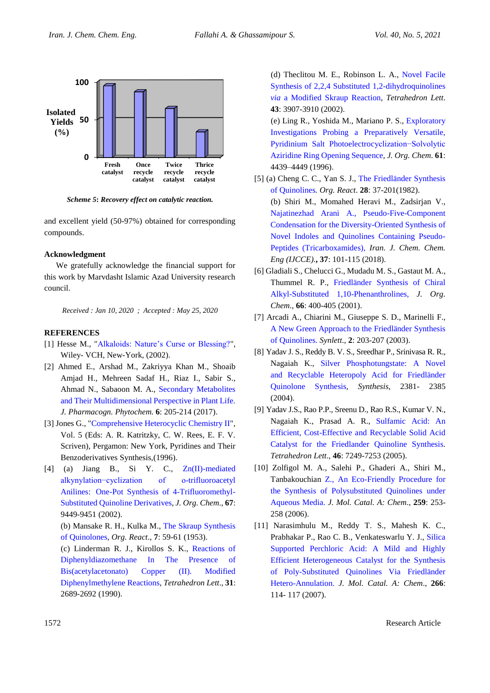

*Scheme 5***:** *Recovery effect on catalytic reaction.*

and excellent yield (50-97%) obtained for corresponding compounds.

#### **Acknowledgment**

We gratefully acknowledge the financial support for this work by Marvdasht Islamic Azad University research council.

*Received : Jan 10, 2020 ; Accepted : May 25, 2020*

#### **REFERENCES**

- [1] Hesse M., ["Alkaloids: Nature's Curse or Blessing?"](https://pubs.acs.org/doi/abs/10.1021/jm0205503), Wiley- VCH, New-York, (2002).
- [2] Ahmed E., Arshad M., Zakriyya Khan M., Shoaib Amjad H., Mehreen Sadaf H., Riaz I., Sabir S., Ahmad N., Sabaoon M. A., [Secondary Metabolites](https://www.researchgate.net/publication/315769340_Secondary_metabolites_and_their_multidimensional_prospective_in_plant_life)  [and Their Multidimensional Perspective in Plant Life.](https://www.researchgate.net/publication/315769340_Secondary_metabolites_and_their_multidimensional_prospective_in_plant_life) *J. Pharmacogn. Phytochem.* **6**: 205-214 (2017).
- [3] Jones G., ["Comprehensive Heterocyclic Chemistry II"](https://pubs.acs.org/doi/abs/10.1021/ja975563y), Vol. 5 (Eds: A. R. Katritzky, C. W. Rees, E. F. V. Scriven), Pergamon: New York, Pyridines and Their Benzoderivatives Synthesis,(1996).
- [4] (a) Jiang B., Si Y. C.,  $Zn(II)$ -mediated [alkynylation−cyclization of o-trifluoroacetyl](https://pubs.acs.org/doi/10.1021/jo0204606)  Anilines: [One-Pot Synthesis of 4-Trifluoromethyl-](https://pubs.acs.org/doi/10.1021/jo0204606)[Substituted Quinoline Derivatives,](https://pubs.acs.org/doi/10.1021/jo0204606) *J. Org. Chem*., **67**: 9449-9451 (2002).

 (b) Mansake R. H., Kulka M., [The Skraup Synthesis](https://onlinelibrary.wiley.com/doi/abs/10.1002/0471264180.or007.02)  [of Quinolones,](https://onlinelibrary.wiley.com/doi/abs/10.1002/0471264180.or007.02) *Org. React*., **7**: 59-61 (1953).

 (c) Linderman R. J., Kirollos S. K., [Reactions of](https://www.sciencedirect.com/science/article/pii/S0040403901996303)  [Diphenyldiazomethane In The Presence of](https://www.sciencedirect.com/science/article/pii/S0040403901996303)  [Bis\(acetylacetonato\) Copper \(II\). Modified](https://www.sciencedirect.com/science/article/pii/S0040403901996303)  [Diphenylmethylene Reactions,](https://www.sciencedirect.com/science/article/pii/S0040403901996303) *Tetrahedron Lett*., **31**: 2689-2692 (1990).

 (d) Theclitou M. E., Robinson L. A., [Novel Facile](https://www.sciencedirect.com/science/article/pii/S0040403902006147)  [Synthesis of 2,2,4 Substituted 1,2-dihydroquinolines](https://www.sciencedirect.com/science/article/pii/S0040403902006147)  *via* a [Modified Skraup Reaction,](https://www.sciencedirect.com/science/article/pii/S0040403902006147) *Tetrahedron Lett*. **43**: 3907-3910 (2002).

 (e) Ling R., Yoshida M., Mariano P. S., [Exploratory](https://pubs.acs.org/doi/10.1021/jo960316i)  [Investigations Probing a](https://pubs.acs.org/doi/10.1021/jo960316i) Preparatively Versatile, [Pyridinium Salt Photoelectrocyclization−Solvolytic](https://pubs.acs.org/doi/10.1021/jo960316i)  [Aziridine Ring Opening Sequence,](https://pubs.acs.org/doi/10.1021/jo960316i) *J. Org. Chem*. **61**: 4439–4449 (1996).

- [5] (a) Cheng C. C., Yan S. J., [The Friedländer Synthesis](https://onlinelibrary.wiley.com/doi/abs/10.1002/0471264180.or028.02)  [of Quinolines](https://onlinelibrary.wiley.com/doi/abs/10.1002/0471264180.or028.02)*. Org. React*. **28**: 37-201(1982). (b) Shiri M., Momahed Heravi M., Zadsirjan V., [Najatinezhad Arani A., Pseudo-Five-Component](http://www.ijcce.ac.ir/article_28213_5129.html)  [Condensation for the Diversity-Oriented Synthesis of](http://www.ijcce.ac.ir/article_28213_5129.html)  [Novel Indoles and Quinolines Containing Pseudo-](http://www.ijcce.ac.ir/article_28213_5129.html)[Peptides \(Tricarboxamides\)](http://www.ijcce.ac.ir/article_28213_5129.html), *Iran. J. Chem. Chem. Eng (IJCCE).***, 37**: 101-115 (2018).
- [6] Gladiali S., Chelucci G., Mudadu M. S., Gastaut M. A., Thummel R. P., Friedländer [Synthesis of Chiral](https://pubs.acs.org/doi/10.1021/jo0009806)  [Alkyl-Substituted 1,10-Phenanthrolines](https://pubs.acs.org/doi/10.1021/jo0009806)*, J. Org. Chem*., **66**: 400-405 (2001).
- [7] Arcadi A., Chiarini M., Giuseppe S. D., Marinelli F., [A New Green Approach to the Friedländer Synthesis](https://www.thieme-connect.com/products/ejournals/abstract/10.1055/s-2003-36798)  [of Quinolines.](https://www.thieme-connect.com/products/ejournals/abstract/10.1055/s-2003-36798) *Synlett*., **2**: 203-207 (2003).
- [8] Yadav J. S., Reddy B. V. S., Sreedhar P., Srinivasa R. R., Nagaiah K., [Silver Phosphotungstate: A](https://www.thieme-connect.com/products/ejournals/abstract/10.1055/s-2004-831185) Novel [and Recyclable Heteropoly Acid for Friedländer](https://www.thieme-connect.com/products/ejournals/abstract/10.1055/s-2004-831185)  [Quinolone Synthesis](https://www.thieme-connect.com/products/ejournals/abstract/10.1055/s-2004-831185)*, Synthesis*, 2381- 2385 (2004).
- [9] Yadav J.S., Rao P.P., Sreenu D., Rao R.S., Kumar V. N., Nagaiah K., Prasad A. R., [Sulfamic Acid: An](https://www.sciencedirect.com/science/article/pii/S0040403905017776)  [Efficient, Cost-Effective and Recyclable Solid Acid](https://www.sciencedirect.com/science/article/pii/S0040403905017776)  [Catalyst for the Friedlander Quinoline Synthesis.](https://www.sciencedirect.com/science/article/pii/S0040403905017776) *Tetrahedron Lett*., **46**: 7249-7253 (2005).
- [10] Zolfigol M. A., Salehi P., Ghaderi A., Shiri M., Tanbakouchian [Z., An Eco-Friendly Procedure for](https://www.sciencedirect.com/science/article/pii/S1381116906009551)  [the Synthesis of Polysubstituted Quinolines under](https://www.sciencedirect.com/science/article/pii/S1381116906009551)  [Aqueous Media.](https://www.sciencedirect.com/science/article/pii/S1381116906009551) *J. Mol. Catal. A: Chem*., **259**: 253- 258 (2006).
- [11] Narasimhulu M., Reddy T. S., Mahesh K. C., Prabhakar P., Rao C. B., Venkateswarlu Y. J., [Silica](https://www.sciencedirect.com/science/article/pii/S1381116906013252)  [Supported Perchloric Acid: A Mild and Highly](https://www.sciencedirect.com/science/article/pii/S1381116906013252)  [Efficient Heterogeneous Catalyst for the Synthesis](https://www.sciencedirect.com/science/article/pii/S1381116906013252)  [of Poly-Substituted Quinolines Via Friedländer](https://www.sciencedirect.com/science/article/pii/S1381116906013252)  [Hetero-Annulation.](https://www.sciencedirect.com/science/article/pii/S1381116906013252) *J. Mol. Catal. A: Chem*., **266**: 114- 117 (2007).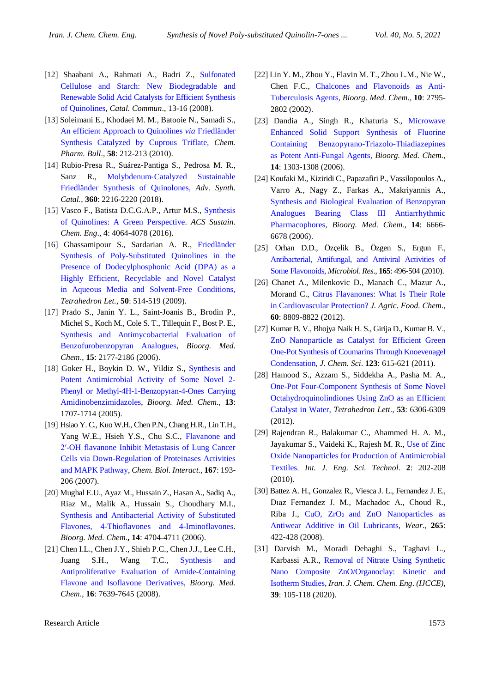- [12] Shaabani A., Rahmati A., Badri Z., [Sulfonated](https://www.sciencedirect.com/science/article/pii/S1566736707002191)  [Cellulose and Starch: New Biodegradable and](https://www.sciencedirect.com/science/article/pii/S1566736707002191)  [Renewable Solid Acid Catalysts for Efficient Synthesis](https://www.sciencedirect.com/science/article/pii/S1566736707002191) [of Quinolines,](https://www.sciencedirect.com/science/article/pii/S1566736707002191) *Catal. Commun*., 13-16 (2008).
- [13] Soleimani E., Khodaei M. M., Batooie N., Samadi S., [An efficient Approach to Quinolines](https://www.jstage.jst.go.jp/article/cpb/58/2/58_2_212/_article/-char/en) *via* Friedländer [Synthesis Catalyzed by Cuprous Triflate](https://www.jstage.jst.go.jp/article/cpb/58/2/58_2_212/_article/-char/en)*, Chem. Pharm. Bull*., **58**: 212-213 (2010).
- [14] Rubio‐Presa R., Suárez‐Pantiga S., Pedrosa M. R., Sanz R., Molybdenum‐[Catalyzed Sustainable](https://onlinelibrary.wiley.com/doi/10.1002/adsc.201800278)  [Friedländer Synthesis of Quinolones,](https://onlinelibrary.wiley.com/doi/10.1002/adsc.201800278) *Adv. Synth. Catal.,* **360**: 2216-2220 (2018).
- [15] Vasco F., Batista D.C.G.A.P., Artur M.S., [Synthesis](https://pubs.acs.org/doi/10.1021/acssuschemeng.6b01010)  [of Quinolines: A Green Perspective.](https://pubs.acs.org/doi/10.1021/acssuschemeng.6b01010) *ACS Sustain. Chem. Eng*., **4**: 4064-4078 (2016).
- [16] Ghassamipour S., Sardarian A. R., [Friedländer](https://www.sciencedirect.com/science/article/pii/S0040403908017711)  [Synthesis of Poly-Substituted Quinolines in the](https://www.sciencedirect.com/science/article/pii/S0040403908017711)  [Presence of Dodecylphosphonic Acid \(DPA\) as a](https://www.sciencedirect.com/science/article/pii/S0040403908017711) [Highly Efficient, Recyclable and Novel Catalyst](https://www.sciencedirect.com/science/article/pii/S0040403908017711)  [in Aqueous Media and Solvent-Free Conditions,](https://www.sciencedirect.com/science/article/pii/S0040403908017711) *Tetrahedron Let.,* **50**: 514-519 (2009).
- [17] Prado S., Janin Y. L., Saint-Joanis B., Brodin P., Michel S., Koch M., Cole S. T., Tillequin F., Bost P. E., [Synthesis and Antimycobacterial Evaluation of](https://europepmc.org/abstract/med/17208445)  [Benzofurobenzopyran Analogues,](https://europepmc.org/abstract/med/17208445) *Bioorg. Med. Chem*., **15**: 2177-2186 (2006).
- [18] Goker H., Boykin D. W., Yildiz S., Synthesis and [Potent Antimicrobial Activity of Some Novel 2-](https://www.sciencedirect.com/science/article/pii/S0968089604009666) [Phenyl or Methyl-4H-1-Benzopyran-4-Ones Carrying](https://www.sciencedirect.com/science/article/pii/S0968089604009666) [Amidinobenzimidazoles,](https://www.sciencedirect.com/science/article/pii/S0968089604009666) *Bioorg. Med. Chem*., **13**: 1707-1714 (2005).
- [19] Hsiao Y. C., Kuo W.H., Chen P.N., Chang H.R., Lin T.H., Yang W.E., Hsieh Y.S., Chu S.C., [Flavanone and](https://www.sciencedirect.com/science/article/pii/S0009279707000488)  [2′-OH flavanone Inhibit Metastasis of Lung Cancer](https://www.sciencedirect.com/science/article/pii/S0009279707000488)  [Cells via Down-Regulation of Proteinases Activities](https://www.sciencedirect.com/science/article/pii/S0009279707000488)  [and MAPK Pathway,](https://www.sciencedirect.com/science/article/pii/S0009279707000488) *Chem. Biol. Interact.,* **167**: 193- 206 (2007).
- [20] Mughal E.U., Ayaz M., Hussain Z., Hasan A., Sadiq A., Riaz M., Malik A., Hussain S., Choudhary M.I., Synthesis and [Antibacterial Activity of Substituted](https://www.sciencedirect.com/science/article/pii/S0968089606002434)  [Flavones, 4-Thioflavones and 4-Iminoflavones.](https://www.sciencedirect.com/science/article/pii/S0968089606002434) *Bioorg. Med. Chem*.**, 14**: 4704-4711 (2006).
- [21] Chen I.L., Chen J.Y., Shieh P.C., Chen J.J., Lee C.H., Juang S.H., Wang T.C., [Synthesis and](https://www.sciencedirect.com/science/article/pii/S0968089608006160) [Antiproliferative Evaluation of Amide-Containing](https://www.sciencedirect.com/science/article/pii/S0968089608006160)  [Flavone and Isoflavone Derivatives,](https://www.sciencedirect.com/science/article/pii/S0968089608006160) *Bioorg. Med. Chem*., **16**: 7639-7645 (2008).
- [22] Lin Y. M., Zhou Y., Flavin M. T., Zhou L.M., Nie W., Chen F.C., [Chalcones and Flavonoids as Anti-](https://www.sciencedirect.com/science/article/pii/S0968089602000949)[Tuberculosis Agents,](https://www.sciencedirect.com/science/article/pii/S0968089602000949) *Bioorg. Med. Chem*., **10**: 2795- 2802 (2002).
- [23] Dandia A., Singh R., Khaturia S., [Microwave](https://www.sciencedirect.com/science/article/pii/S0968089605009363)  [Enhanced Solid Support Synthesis of Fluorine](https://www.sciencedirect.com/science/article/pii/S0968089605009363)  [Containing Benzopyrano-Triazolo-Thiadiazepines](https://www.sciencedirect.com/science/article/pii/S0968089605009363)  [as Potent Anti-Fungal Agents](https://www.sciencedirect.com/science/article/pii/S0968089605009363)*, Bioorg. Med. Chem.,* **14**: 1303-1308 (2006).
- [24] Koufaki M., Kiziridi C., Papazafiri P., Vassilopoulos A., Varro A., Nagy Z., Farkas A., Makriyannis A., [Synthesis and Biological Evaluation of Benzopyran](https://www.sciencedirect.com/science/article/pii/S096808960600441X)  [Analogues Bearing Class III Antiarrhythmic](https://www.sciencedirect.com/science/article/pii/S096808960600441X)  [Pharmacophores,](https://www.sciencedirect.com/science/article/pii/S096808960600441X) *Bioorg. Med. Chem.,* **14**: 6666- 6678 (2006).
- [25] Orhan D.D., Özçelik B., Özgen S., Ergun F*.,* [Antibacterial, Antifungal, and Antiviral Activities of](https://www.sciencedirect.com/science/article/pii/S0944501309000743)  [Some Flavonoids,](https://www.sciencedirect.com/science/article/pii/S0944501309000743) *Microbiol. Res*., **165**: 496-504 (2010).
- [26] Chanet A., Milenkovic D., Manach C., Mazur A., Morand C., [Citrus Flavanones: What Is Their Role](https://pubs.acs.org/doi/10.1021/jf300669s)  [in Cardiovascular Protection?](https://pubs.acs.org/doi/10.1021/jf300669s) *J. Agric. Food. Chem*., **60**: 8809-8822 (2012).
- [27] Kumar B. V., Bhojya Naik H. S., Girija D., Kumar B. V., [ZnO Nanoparticle as Catalyst for Efficient Green](https://link.springer.com/article/10.1007/s12039-011-0133-0)  [One-Pot Synthesis of Coumarins Through Knoevenagel](https://link.springer.com/article/10.1007/s12039-011-0133-0)  [Condensation,](https://link.springer.com/article/10.1007/s12039-011-0133-0) *J. Chem. Sci*. **123**: 615-621 (2011).
- [28] Hamood S., Azzam S., Siddekha A., Pasha M. A., [One-Pot Four-Component Synthesis of Some Novel](https://www.sciencedirect.com/science/article/pii/S0040403912016292)  [Octahydroquinolindiones Using ZnO as an Efficient](https://www.sciencedirect.com/science/article/pii/S0040403912016292)  [Catalyst in Water,](https://www.sciencedirect.com/science/article/pii/S0040403912016292) *Tetrahedron Lett*., **53**: 6306-6309 (2012).
- [29] Rajendran R., Balakumar C., Ahammed H. A. M., Jayakumar S., Vaideki K., Rajesh M. R., [Use of Zinc](https://www.ajol.info/index.php/ijest/article/view/59113)  [Oxide Nanoparticles for Production of Antimicrobial](https://www.ajol.info/index.php/ijest/article/view/59113)  [Textiles.](https://www.ajol.info/index.php/ijest/article/view/59113) *Int. J. Eng. Sci. Technol.* **2**: 202-208 (2010).
- [30] Battez A. H., Gonzalez R., Viesca J. L., Fernandez J. E., Dıaz Fernandez J. M., Machadoc A., Choud R., Riba J.,  $CuO$ ,  $ZrO<sub>2</sub>$  and  $ZnO$  Nanoparticles as [Antiwear Additive in Oil Lubricants](https://www.sciencedirect.com/science/article/abs/pii/S0043164807007508)*, Wear*., **265**: 422-428 (2008).
- [31] Darvish M., Moradi Dehaghi S., Taghavi L., Karbassi A.R., [Removal of Nitrate Using Synthetic](http://www.ijcce.ac.ir/article_33340.html)  [Nano Composite ZnO/Organoclay: Kinetic and](http://www.ijcce.ac.ir/article_33340.html)  [Isotherm Studies,](http://www.ijcce.ac.ir/article_33340.html) *Iran. J. Chem. Chem. Eng*. *(IJCCE),* **39**: 105-118 (2020).

Research Article 1573